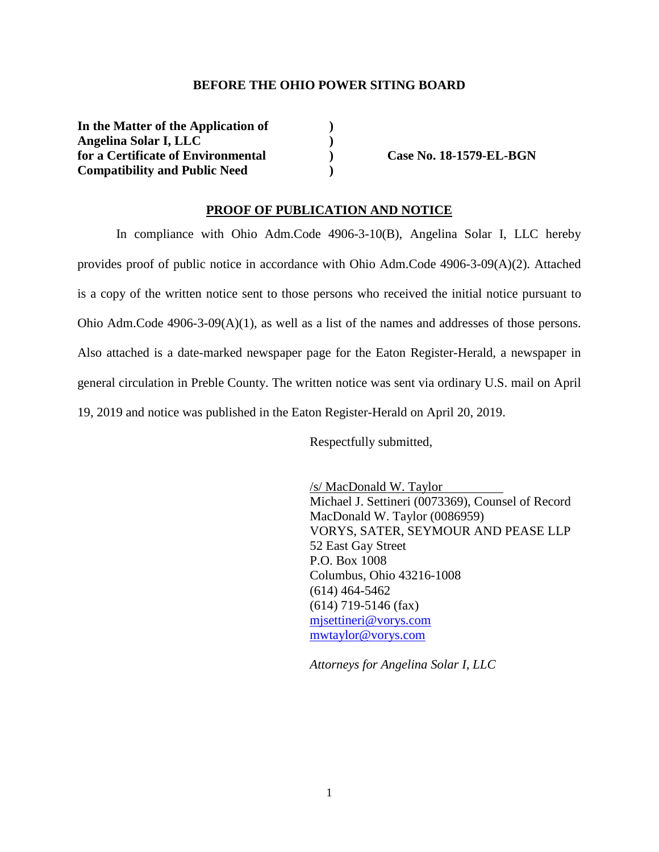## **BEFORE THE OHIO POWER SITING BOARD**

| In the Matter of the Application of  |  |
|--------------------------------------|--|
| Angelina Solar I, LLC                |  |
| for a Certificate of Environmental   |  |
| <b>Compatibility and Public Need</b> |  |

**for a Case No. 18-1579-EL-BGN** 

## **PROOF OF PUBLICATION AND NOTICE**

In compliance with Ohio Adm.Code 4906-3-10(B), Angelina Solar I, LLC hereby provides proof of public notice in accordance with Ohio Adm.Code 4906-3-09(A)(2). Attached is a copy of the written notice sent to those persons who received the initial notice pursuant to Ohio Adm.Code  $4906-3-09(A)(1)$ , as well as a list of the names and addresses of those persons. Also attached is a date-marked newspaper page for the Eaton Register-Herald, a newspaper in general circulation in Preble County. The written notice was sent via ordinary U.S. mail on April 19, 2019 and notice was published in the Eaton Register-Herald on April 20, 2019.

Respectfully submitted,

/s/ MacDonald W. Taylor Michael J. Settineri (0073369), Counsel of Record MacDonald W. Taylor (0086959) VORYS, SATER, SEYMOUR AND PEASE LLP 52 East Gay Street P.O. Box 1008 Columbus, Ohio 43216-1008 (614) 464-5462 (614) 719-5146 (fax) mjsettineri@vorys.com mwtaylor@vorys.com

*Attorneys for Angelina Solar I, LLC*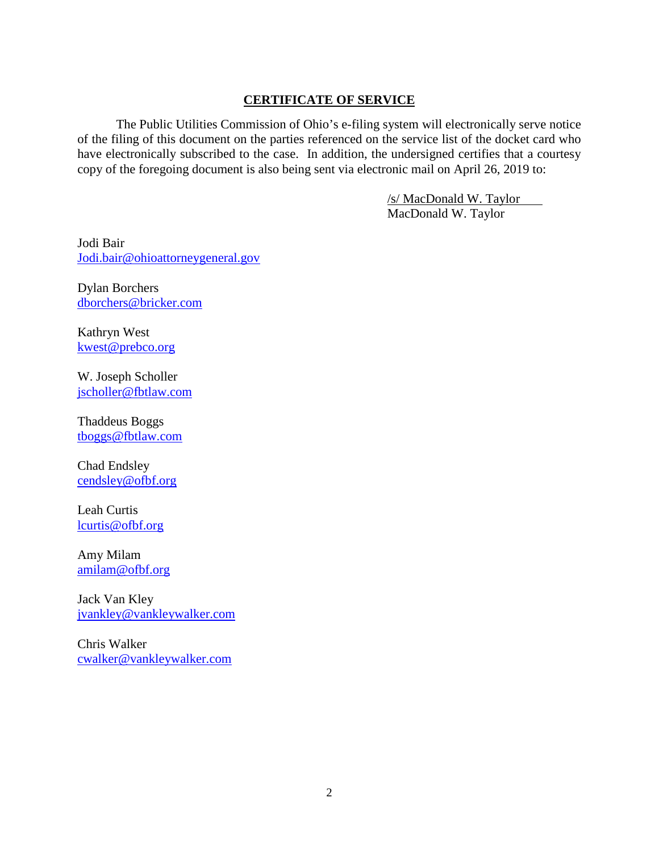## **CERTIFICATE OF SERVICE**

The Public Utilities Commission of Ohio's e-filing system will electronically serve notice of the filing of this document on the parties referenced on the service list of the docket card who have electronically subscribed to the case. In addition, the undersigned certifies that a courtesy copy of the foregoing document is also being sent via electronic mail on April 26, 2019 to:

> /s/ MacDonald W. Taylor MacDonald W. Taylor

Jodi Bair Jodi.bair@ohioattorneygeneral.gov

Dylan Borchers dborchers@bricker.com

Kathryn West kwest@prebco.org

W. Joseph Scholler jscholler@fbtlaw.com

Thaddeus Boggs tboggs@fbtlaw.com

Chad Endsley cendsley@ofbf.org

Leah Curtis lcurtis@ofbf.org

Amy Milam amilam@ofbf.org

Jack Van Kley jvankley@vankleywalker.com

Chris Walker cwalker@vankleywalker.com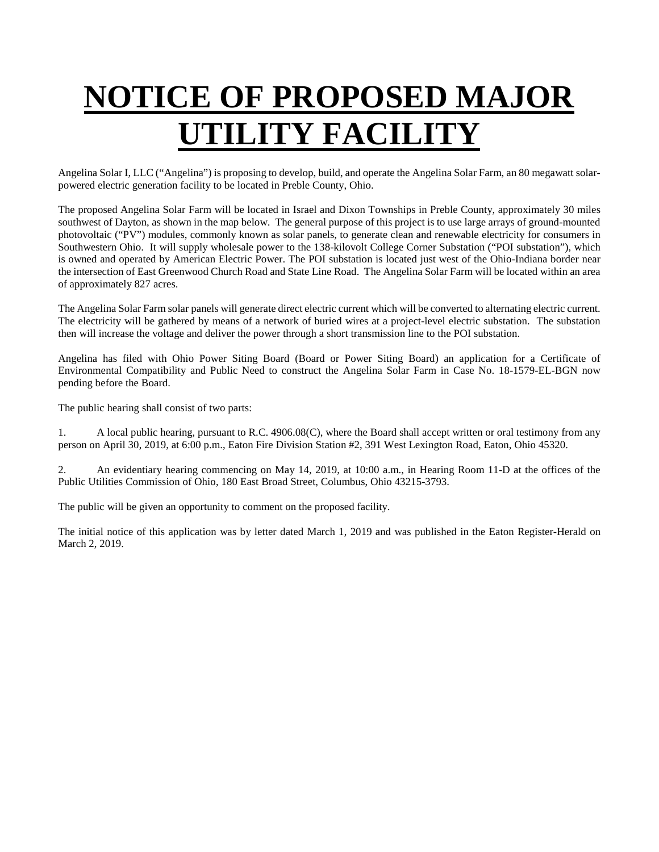## **NOTICE OF PROPOSED MAJOR UTILITY FACILITY**

Angelina Solar I, LLC ("Angelina") is proposing to develop, build, and operate the Angelina Solar Farm, an 80 megawatt solarpowered electric generation facility to be located in Preble County, Ohio.

The proposed Angelina Solar Farm will be located in Israel and Dixon Townships in Preble County, approximately 30 miles southwest of Dayton, as shown in the map below. The general purpose of this project is to use large arrays of ground-mounted photovoltaic ("PV") modules, commonly known as solar panels, to generate clean and renewable electricity for consumers in Southwestern Ohio. It will supply wholesale power to the 138-kilovolt College Corner Substation ("POI substation"), which is owned and operated by American Electric Power. The POI substation is located just west of the Ohio-Indiana border near the intersection of East Greenwood Church Road and State Line Road. The Angelina Solar Farm will be located within an area of approximately 827 acres.

The Angelina Solar Farm solar panels will generate direct electric current which will be converted to alternating electric current. The electricity will be gathered by means of a network of buried wires at a project-level electric substation. The substation then will increase the voltage and deliver the power through a short transmission line to the POI substation.

Angelina has filed with Ohio Power Siting Board (Board or Power Siting Board) an application for a Certificate of Environmental Compatibility and Public Need to construct the Angelina Solar Farm in Case No. 18-1579-EL-BGN now pending before the Board.

The public hearing shall consist of two parts:

1. A local public hearing, pursuant to R.C. 4906.08(C), where the Board shall accept written or oral testimony from any person on April 30, 2019, at 6:00 p.m., Eaton Fire Division Station #2, 391 West Lexington Road, Eaton, Ohio 45320.

2. An evidentiary hearing commencing on May 14, 2019, at 10:00 a.m., in Hearing Room 11-D at the offices of the Public Utilities Commission of Ohio, 180 East Broad Street, Columbus, Ohio 43215-3793.

The public will be given an opportunity to comment on the proposed facility.

The initial notice of this application was by letter dated March 1, 2019 and was published in the Eaton Register-Herald on March 2, 2019.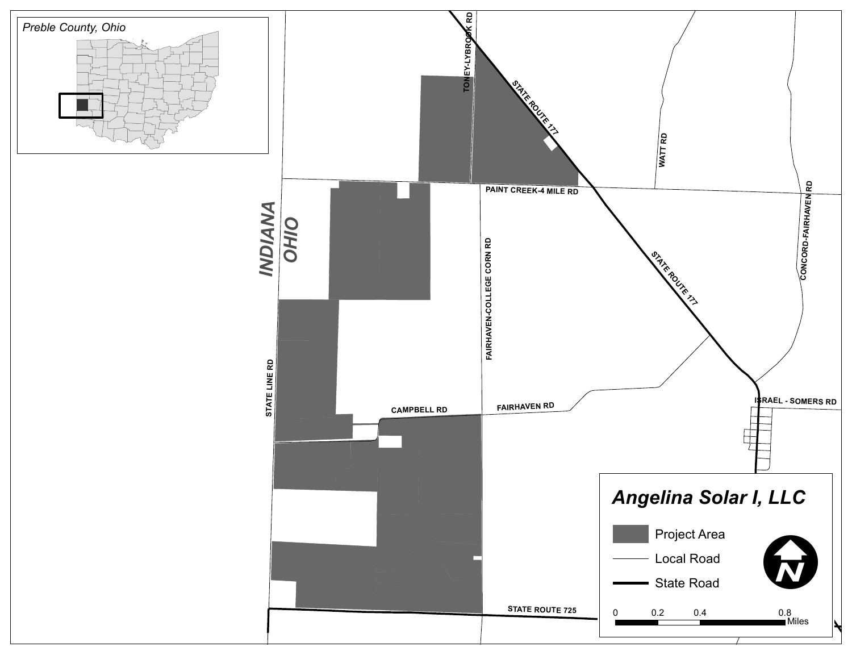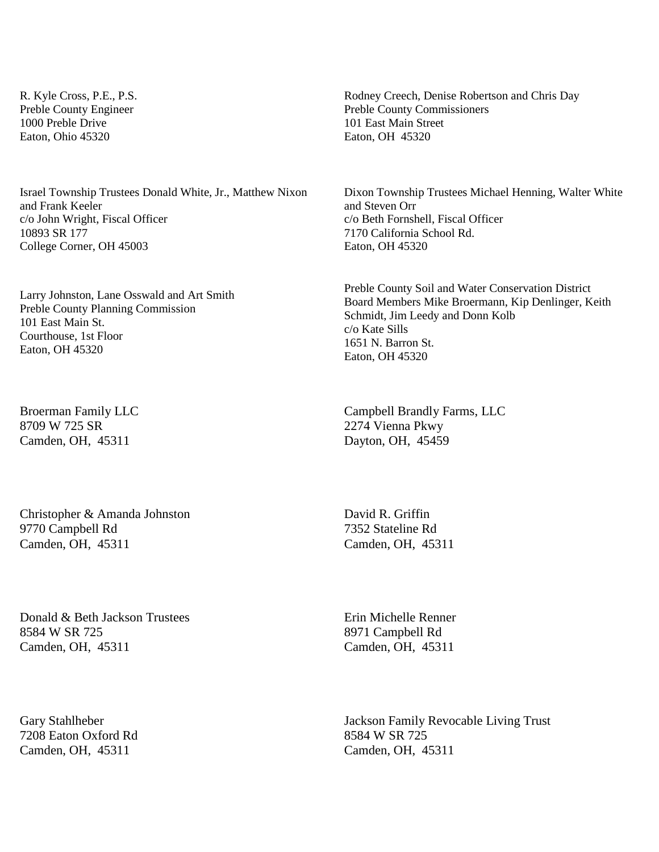R. Kyle Cross, P.E., P.S. Preble County Engineer 1000 Preble Drive Eaton, Ohio 45320

Israel Township Trustees Donald White, Jr., Matthew Nixon and Frank Keeler c/o John Wright, Fiscal Officer 10893 SR 177 College Corner, OH 45003

Larry Johnston, Lane Osswald and Art Smith Preble County Planning Commission 101 East Main St. Courthouse, 1st Floor Eaton, OH 45320

Broerman Family LLC 8709 W 725 SR Camden, OH, 45311

Christopher & Amanda Johnston 9770 Campbell Rd Camden, OH, 45311

Donald & Beth Jackson Trustees 8584 W SR 725 Camden, OH, 45311

Gary Stahlheber 7208 Eaton Oxford Rd Camden, OH, 45311

Rodney Creech, Denise Robertson and Chris Day Preble County Commissioners 101 East Main Street Eaton, OH 45320

Dixon Township Trustees Michael Henning, Walter White and Steven Orr c/o Beth Fornshell, Fiscal Officer 7170 California School Rd. Eaton, OH 45320

Preble County Soil and Water Conservation District Board Members Mike Broermann, Kip Denlinger, Keith Schmidt, Jim Leedy and Donn Kolb c/o Kate Sills 1651 N. Barron St. Eaton, OH 45320

Campbell Brandly Farms, LLC 2274 Vienna Pkwy Dayton, OH, 45459

David R. Griffin 7352 Stateline Rd Camden, OH, 45311

Erin Michelle Renner 8971 Campbell Rd Camden, OH, 45311

Jackson Family Revocable Living Trust 8584 W SR 725 Camden, OH, 45311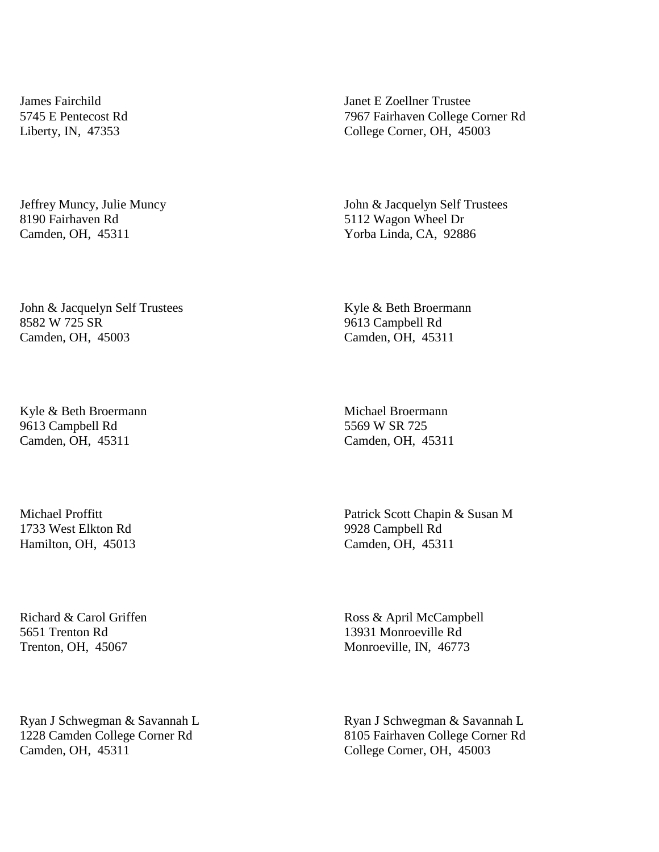James Fairchild 5745 E Pentecost Rd Liberty, IN, 47353

Jeffrey Muncy, Julie Muncy 8190 Fairhaven Rd Camden, OH, 45311

John & Jacquelyn Self Trustees 8582 W 725 SR Camden, OH, 45003

Kyle & Beth Broermann 9613 Campbell Rd Camden, OH, 45311

Michael Proffitt 1733 West Elkton Rd Hamilton, OH, 45013

Richard & Carol Griffen 5651 Trenton Rd Trenton, OH, 45067

Ryan J Schwegman & Savannah L 1228 Camden College Corner Rd Camden, OH, 45311

Janet E Zoellner Trustee 7967 Fairhaven College Corner Rd College Corner, OH, 45003

John & Jacquelyn Self Trustees 5112 Wagon Wheel Dr Yorba Linda, CA, 92886

Kyle & Beth Broermann 9613 Campbell Rd Camden, OH, 45311

Michael Broermann 5569 W SR 725 Camden, OH, 45311

Patrick Scott Chapin & Susan M 9928 Campbell Rd Camden, OH, 45311

Ross & April McCampbell 13931 Monroeville Rd Monroeville, IN, 46773

Ryan J Schwegman & Savannah L 8105 Fairhaven College Corner Rd College Corner, OH, 45003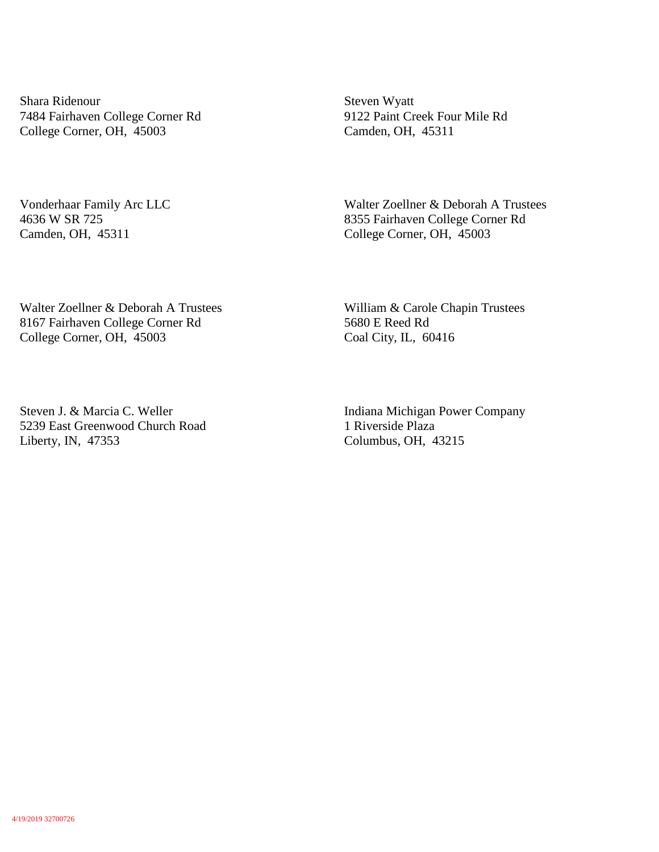Shara Ridenour 7484 Fairhaven College Corner Rd College Corner, OH, 45003

Vonderhaar Family Arc LLC 4636 W SR 725 Camden, OH, 45311

Steven Wyatt 9122 Paint Creek Four Mile Rd Camden, OH, 45311

Walter Zoellner & Deborah A Trustees 8355 Fairhaven College Corner Rd College Corner, OH, 45003

Walter Zoellner & Deborah A Trustees 8167 Fairhaven College Corner Rd College Corner, OH, 45003

William & Carole Chapin Trustees 5680 E Reed Rd Coal City, IL, 60416

Steven J. & Marcia C. Weller 5239 East Greenwood Church Road Liberty, IN, 47353

Indiana Michigan Power Company 1 Riverside Plaza Columbus, OH, 43215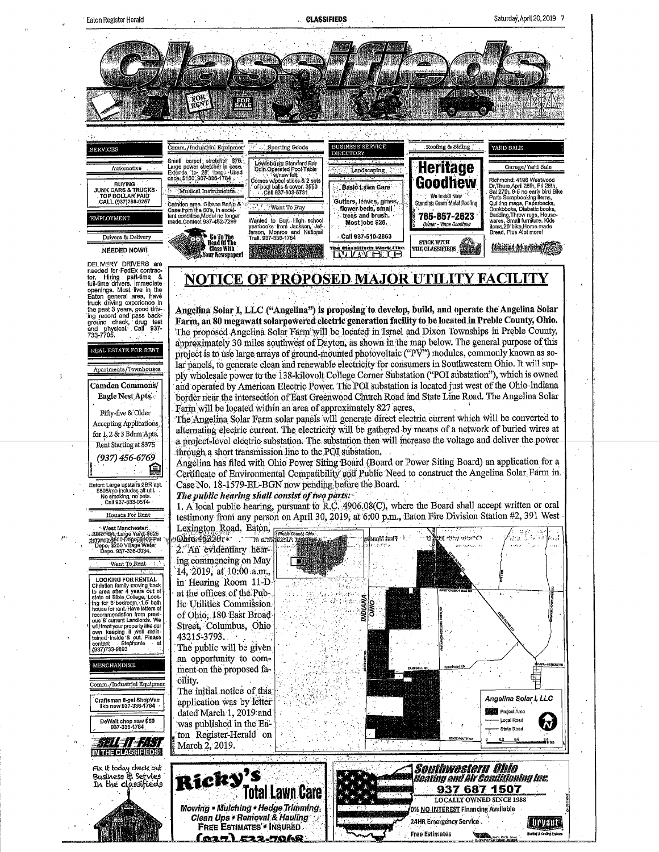**CLASSIFIEDS** 



<u>(025) 522-7068</u>